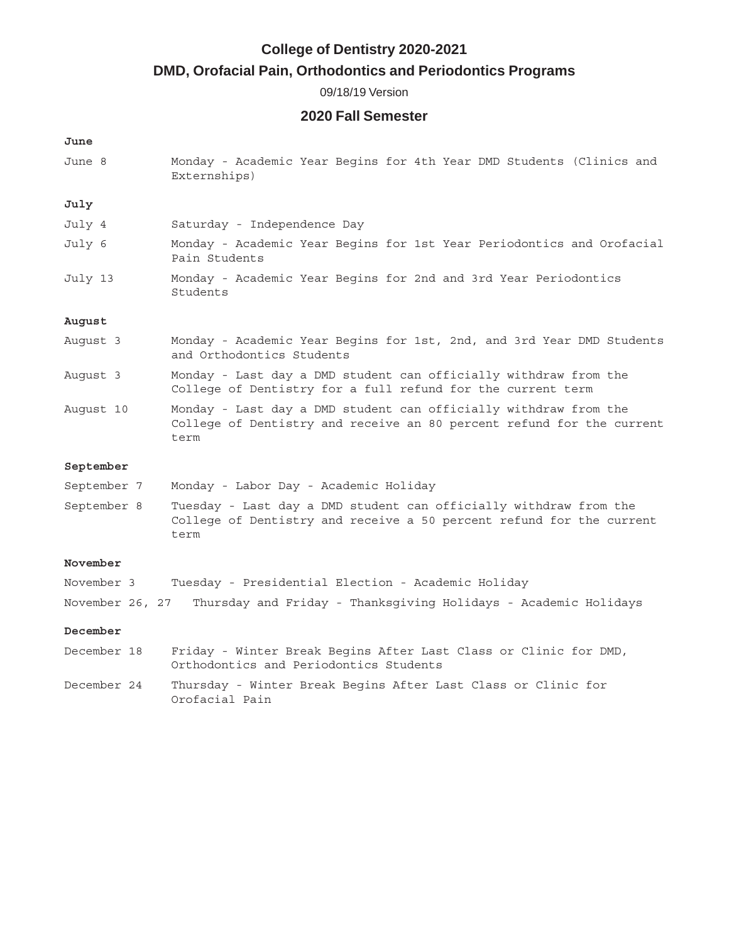# **College of Dentistry 2020-2021**

# **DMD, Orofacial Pain, Orthodontics and Periodontics Programs**

09/18/19 Version

# **2020 Fall Semester**

#### **June**

June 8 Monday - Academic Year Begins for 4th Year DMD Students (Clinics and Externships)

## **July**

- July 4 Saturday Independence Day July 6 Monday - Academic Year Begins for 1st Year Periodontics and Orofacial Pain Students July 13 Monday - Academic Year Begins for 2nd and 3rd Year Periodontics
- Students

## **August**

- August 3 Monday Academic Year Begins for 1st, 2nd, and 3rd Year DMD Students and Orthodontics Students
- August 3 Monday Last day a DMD student can officially withdraw from the College of Dentistry for a full refund for the current term
- August 10 Monday Last day a DMD student can officially withdraw from the College of Dentistry and receive an 80 percent refund for the current term

#### **September**

- September 7 Monday Labor Day Academic Holiday
- September 8 Tuesday Last day a DMD student can officially withdraw from the College of Dentistry and receive a 50 percent refund for the current term

## **November**

| November 3 |  |  |  |  | Tuesday - Presidential Election - Academic Holiday |  |                                                                                 |  |
|------------|--|--|--|--|----------------------------------------------------|--|---------------------------------------------------------------------------------|--|
|            |  |  |  |  |                                                    |  | November 26, 27 Thursday and Friday - Thanksqiving Holidays - Academic Holidays |  |

#### **December**

- December 18 Friday Winter Break Begins After Last Class or Clinic for DMD, Orthodontics and Periodontics Students December 24 Thursday - Winter Break Begins After Last Class or Clinic for
	- Orofacial Pain